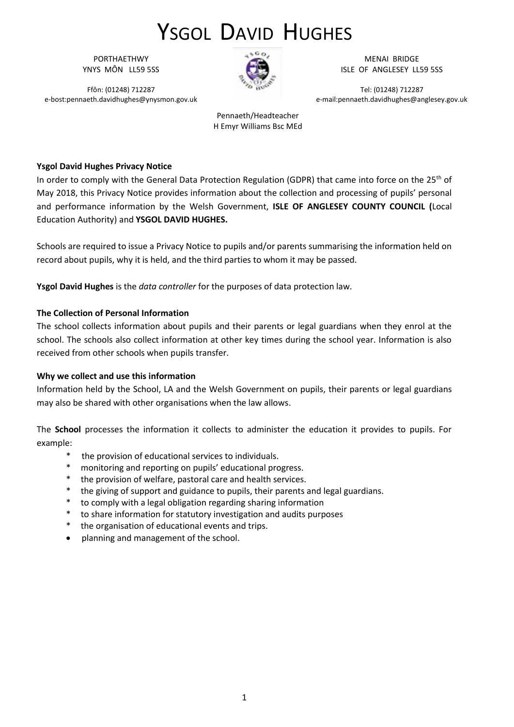PORTHAETHWY YNYS MÔN LL59 5SS

Ffôn: (01248) 712287 e-bost:pennaeth.davidhughes@ynysmon.gov.uk



MENAI BRIDGE ISLE OF ANGLESEY LL59 5SS

Tel: (01248) 712287 e-mail:pennaeth.davidhughes@anglesey.gov.uk

Pennaeth/Headteacher H Emyr Williams Bsc MEd

#### **Ysgol David Hughes Privacy Notice**

In order to comply with the General Data Protection Regulation (GDPR) that came into force on the 25<sup>th</sup> of May 2018, this Privacy Notice provides information about the collection and processing of pupils' personal and performance information by the Welsh Government, **ISLE OF ANGLESEY COUNTY COUNCIL (**Local Education Authority) and **YSGOL DAVID HUGHES.**

Schools are required to issue a Privacy Notice to pupils and/or parents summarising the information held on record about pupils, why it is held, and the third parties to whom it may be passed.

**Ysgol David Hughes** is the *data controller* for the purposes of data protection law.

#### **The Collection of Personal Information**

The school collects information about pupils and their parents or legal guardians when they enrol at the school. The schools also collect information at other key times during the school year. Information is also received from other schools when pupils transfer.

#### **Why we collect and use this information**

Information held by the School, LA and the Welsh Government on pupils, their parents or legal guardians may also be shared with other organisations when the law allows.

The **School** processes the information it collects to administer the education it provides to pupils. For example:

- \* the provision of educational services to individuals.
- monitoring and reporting on pupils' educational progress.
- the provision of welfare, pastoral care and health services.
- \* the giving of support and guidance to pupils, their parents and legal guardians.
- \* to comply with a legal obligation regarding sharing information
- \* to share information for statutory investigation and audits purposes
- \* the organisation of educational events and trips.
- planning and management of the school.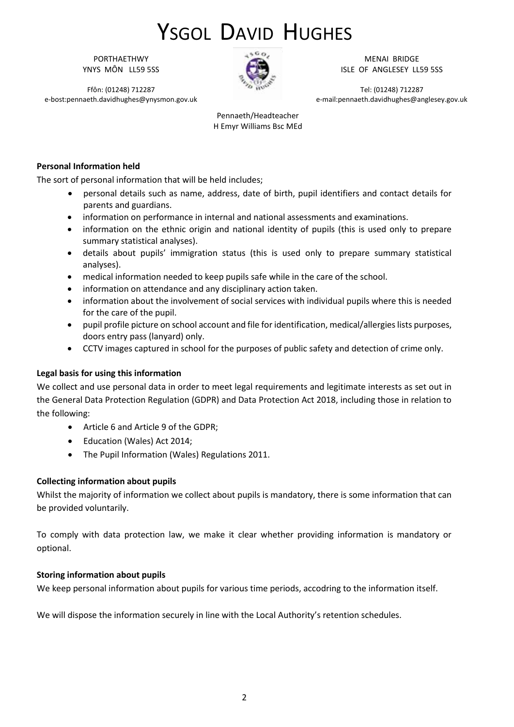PORTHAETHWY YNYS MÔN LL59 5SS

Ffôn: (01248) 712287 e-bost:pennaeth.davidhughes@ynysmon.gov.uk



MENAI BRIDGE ISLE OF ANGLESEY LL59 5SS

Tel: (01248) 712287 e-mail:pennaeth.davidhughes@anglesey.gov.uk

Pennaeth/Headteacher H Emyr Williams Bsc MEd

### **Personal Information held**

The sort of personal information that will be held includes;

- personal details such as name, address, date of birth, pupil identifiers and contact details for parents and guardians.
- information on performance in internal and national assessments and examinations.
- information on the ethnic origin and national identity of pupils (this is used only to prepare summary statistical analyses).
- details about pupils' immigration status (this is used only to prepare summary statistical analyses).
- medical information needed to keep pupils safe while in the care of the school.
- information on attendance and any disciplinary action taken.
- information about the involvement of social services with individual pupils where this is needed for the care of the pupil.
- pupil profile picture on school account and file for identification, medical/allergies lists purposes, doors entry pass (lanyard) only.
- CCTV images captured in school for the purposes of public safety and detection of crime only.

#### **Legal basis for using this information**

We collect and use personal data in order to meet legal requirements and legitimate interests as set out in the General Data Protection Regulation (GDPR) and Data Protection Act 2018, including those in relation to the following:

- Article 6 and Article 9 of the GDPR;
- Education (Wales) Act 2014;
- The Pupil Information (Wales) Regulations 2011.

#### **Collecting information about pupils**

Whilst the majority of information we collect about pupils is mandatory, there is some information that can be provided voluntarily.

To comply with data protection law, we make it clear whether providing information is mandatory or optional.

#### **Storing information about pupils**

We keep personal information about pupils for various time periods, accodring to the information itself.

We will dispose the information securely in line with the Local Authority's retention schedules.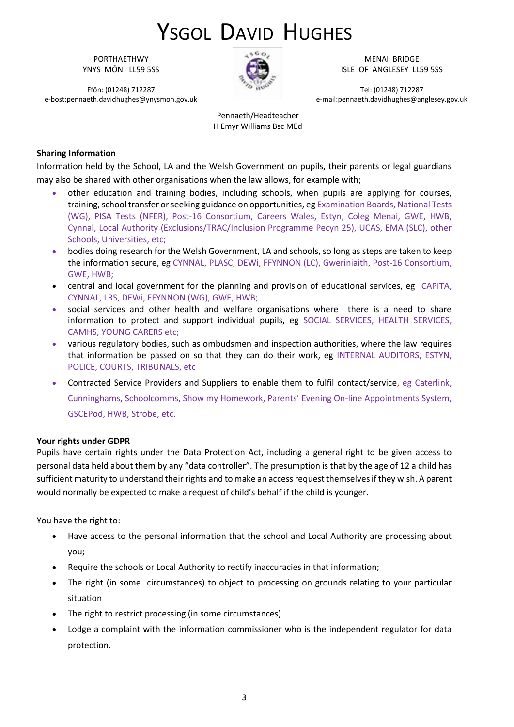PORTHAETHWY YNYS MÔN LL59 5SS

Ffôn: (01248) 712287 e-bost:pennaeth.davidhughes@ynysmon.gov.uk



MENAI BRIDGE ISLE OF ANGLESEY LL59 5SS

Tel: (01248) 712287 e-mail:pennaeth.davidhughes@anglesey.gov.uk

Pennaeth/Headteacher H Emyr Williams Bsc MEd

#### **Sharing Information**

Information held by the School, LA and the Welsh Government on pupils, their parents or legal guardians may also be shared with other organisations when the law allows, for example with;

- other education and training bodies, including schools, when pupils are applying for courses, training, school transfer or seeking guidance on opportunities, eg Examination Boards, National Tests (WG), PISA Tests (NFER), Post-16 Consortium, Careers Wales, Estyn, Coleg Menai, GWE, HWB, Cynnal, Local Authority (Exclusions/TRAC/Inclusion Programme Pecyn 25), UCAS, EMA (SLC), other Schools, Universities, etc;
- bodies doing research for the Welsh Government, LA and schools, so long as steps are taken to keep the information secure, eg CYNNAL, PLASC, DEWi, FFYNNON (LC), Gweriniaith, Post-16 Consortium, GWE, HWB;
- central and local government for the planning and provision of educational services, eg CAPITA, CYNNAL, LRS, DEWi, FFYNNON (WG), GWE, HWB;
- social services and other health and welfare organisations where there is a need to share information to protect and support individual pupils, eg SOCIAL SERVICES, HEALTH SERVICES, CAMHS, YOUNG CARERS etc;
- various regulatory bodies, such as ombudsmen and inspection authorities, where the law requires that information be passed on so that they can do their work, eg INTERNAL AUDITORS, ESTYN, POLICE, COURTS, TRIBUNALS, etc
- Contracted Service Providers and Suppliers to enable them to fulfil contact/service, eg Caterlink, Cunninghams, Schoolcomms, Show my Homework, Parents' Evening On-line Appointments System, GSCEPod, HWB, Strobe, etc.

#### **Your rights under GDPR**

Pupils have certain rights under the Data Protection Act, including a general right to be given access to personal data held about them by any "data controller". The presumption is that by the age of 12 a child has sufficient maturity to understand their rights and to make an access request themselves if they wish. A parent would normally be expected to make a request of child's behalf if the child is younger.

You have the right to:

- Have access to the personal information that the school and Local Authority are processing about you;
- Require the schools or Local Authority to rectify inaccuracies in that information;
- The right (in some circumstances) to object to processing on grounds relating to your particular situation
- The right to restrict processing (in some circumstances)
- Lodge a complaint with the information commissioner who is the independent regulator for data protection.